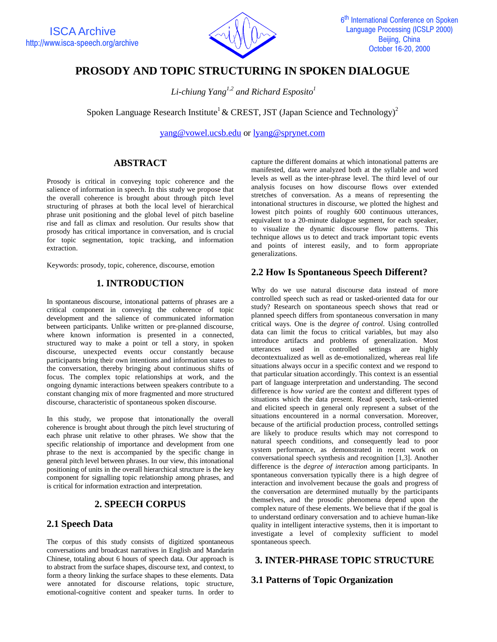

# **PROSODY AND TOPIC STRUCTURING IN SPOKEN DIALOGUE**

 *Li-chiung Yang1,2 and Richard Esposito1*

Spoken Language Research Institute<sup>1</sup> & CREST, JST (Japan Science and Technology)<sup>2</sup>

yang@vowel.ucsb.edu or lyang@sprynet.com

### **ABSTRACT**

Prosody is critical in conveying topic coherence and the salience of information in speech. In this study we propose that the overall coherence is brought about through pitch level structuring of phrases at both the local level of hierarchical phrase unit positioning and the global level of pitch baseline rise and fall as climax and resolution. Our results show that prosody has critical importance in conversation, and is crucial for topic segmentation, topic tracking, and information extraction.

Keywords: prosody, topic, coherence, discourse, emotion

### **1. INTRODUCTION**

In spontaneous discourse, intonational patterns of phrases are a critical component in conveying the coherence of topic development and the salience of communicated information between participants. Unlike written or pre-planned discourse, where known information is presented in a connected, structured way to make a point or tell a story, in spoken discourse, unexpected events occur constantly because participants bring their own intentions and information states to the conversation, thereby bringing about continuous shifts of focus. The complex topic relationships at work, and the ongoing dynamic interactions between speakers contribute to a constant changing mix of more fragmented and more structured discourse, characteristic of spontaneous spoken discourse.

In this study, we propose that intonationally the overall coherence is brought about through the pitch level structuring of each phrase unit relative to other phrases. We show that the specific relationship of importance and development from one phrase to the next is accompanied by the specific change in general pitch level between phrases. In our view, this intonational positioning of units in the overall hierarchical structure is the key component for signalling topic relationship among phrases, and is critical for information extraction and interpretation.

### **2. SPEECH CORPUS**

### **2.1 Speech Data**

The corpus of this study consists of digitized spontaneous conversations and broadcast narratives in English and Mandarin Chinese, totaling about 6 hours of speech data. Our approach is to abstract from the surface shapes, discourse text, and context, to form a theory linking the surface shapes to these elements. Data were annotated for discourse relations, topic structure, emotional-cognitive content and speaker turns. In order to capture the different domains at which intonational patterns are manifested, data were analyzed both at the syllable and word levels as well as the inter-phrase level. The third level of our analysis focuses on how discourse flows over extended stretches of conversation. As a means of representing the intonational structures in discourse, we plotted the highest and lowest pitch points of roughly 600 continuous utterances, equivalent to a 20-minute dialogue segment, for each speaker, to visualize the dynamic discourse flow patterns. This technique allows us to detect and track important topic events and points of interest easily, and to form appropriate generalizations.

## **2.2 How Is Spontaneous Speech Different?**

Why do we use natural discourse data instead of more controlled speech such as read or tasked-oriented data for our study? Research on spontaneous speech shows that read or planned speech differs from spontaneous conversation in many critical ways. One is the *degree of control*. Using controlled data can limit the focus to critical variables, but may also introduce artifacts and problems of generalization. Most utterances used in controlled settings are highly decontextualized as well as de-emotionalized, whereas real life situations always occur in a specific context and we respond to that particular situation accordingly. This context is an essential part of language interpretation and understanding. The second difference is *how varied* are the context and different types of situations which the data present. Read speech, task-oriented and elicited speech in general only represent a subset of the situations encountered in a normal conversation. Moreover, because of the artificial production process, controlled settings are likely to produce results which may not correspond to natural speech conditions, and consequently lead to poor system performance, as demonstrated in recent work on conversational speech synthesis and recognition [1,3]. Another difference is the *degree of interaction* among participants. In spontaneous conversation typically there is a high degree of interaction and involvement because the goals and progress of the conversation are determined mutually by the participants themselves, and the prosodic phenomena depend upon the complex nature of these elements. We believe that if the goal is to understand ordinary conversation and to achieve human-like quality in intelligent interactive systems, then it is important to investigate a level of complexity sufficient to model spontaneous speech.

### **3. INTER-PHRASE TOPIC STRUCTURE**

### **3.1 Patterns of Topic Organization**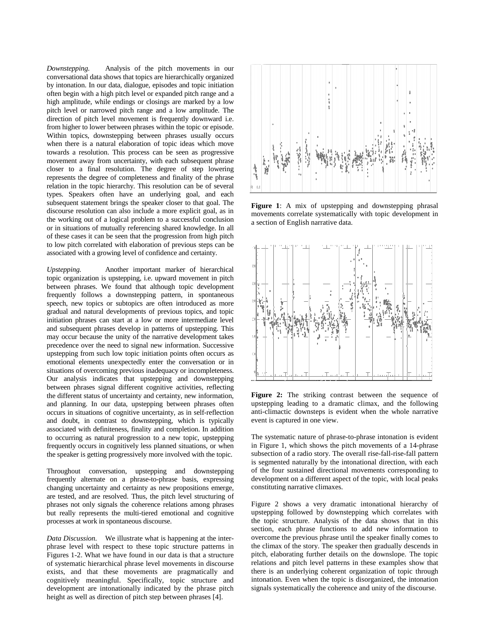*Downstepping.* Analysis of the pitch movements in our conversational data shows that topics are hierarchically organized by intonation. In our data, dialogue, episodes and topic initiation often begin with a high pitch level or expanded pitch range and a high amplitude, while endings or closings are marked by a low pitch level or narrowed pitch range and a low amplitude. The direction of pitch level movement is frequently downward i.e. from higher to lower between phrases within the topic or episode. Within topics, downstepping between phrases usually occurs when there is a natural elaboration of topic ideas which move towards a resolution. This process can be seen as progressive movement away from uncertainty, with each subsequent phrase closer to a final resolution. The degree of step lowering represents the degree of completeness and finality of the phrase relation in the topic hierarchy. This resolution can be of several types. Speakers often have an underlying goal, and each subsequent statement brings the speaker closer to that goal. The discourse resolution can also include a more explicit goal, as in the working out of a logical problem to a successful conclusion or in situations of mutually referencing shared knowledge. In all of these cases it can be seen that the progression from high pitch to low pitch correlated with elaboration of previous steps can be associated with a growing level of confidence and certainty.

*Upstepping.* Another important marker of hierarchical topic organization is upstepping, i.e. upward movement in pitch between phrases. We found that although topic development frequently follows a downstepping pattern, in spontaneous speech, new topics or subtopics are often introduced as more gradual and natural developments of previous topics, and topic initiation phrases can start at a low or more intermediate level and subsequent phrases develop in patterns of upstepping. This may occur because the unity of the narrative development takes precedence over the need to signal new information. Successive upstepping from such low topic initiation points often occurs as emotional elements unexpectedly enter the conversation or in situations of overcoming previous inadequacy or incompleteness. Our analysis indicates that upstepping and downstepping between phrases signal different cognitive activities, reflecting the different status of uncertainty and certainty, new information, and planning. In our data, upstepping between phrases often occurs in situations of cognitive uncertainty, as in self-reflection and doubt, in contrast to downstepping, which is typically associated with definiteness, finality and completion. In addition to occurring as natural progression to a new topic, upstepping frequently occurs in cognitively less planned situations, or when the speaker is getting progressively more involved with the topic.

Throughout conversation, upstepping and downstepping frequently alternate on a phrase-to-phrase basis, expressing changing uncertainty and certainty as new propositions emerge, are tested, and are resolved. Thus, the pitch level structuring of phrases not only signals the coherence relations among phrases but really represents the multi-tiered emotional and cognitive processes at work in spontaneous discourse.

*Data Discussion.* We illustrate what is happening at the interphrase level with respect to these topic structure patterns in Figures 1-2. What we have found in our data is that a structure of systematic hierarchical phrase level movements in discourse exists, and that these movements are pragmatically and cognitively meaningful. Specifically, topic structure and development are intonationally indicated by the phrase pitch height as well as direction of pitch step between phrases [4].



Figure 1: A mix of upstepping and downstepping phrasal movements correlate systematically with topic development in a section of English narrative data.



**Figure 2:** The striking contrast between the sequence of upstepping leading to a dramatic climax, and the following anti-climactic downsteps is evident when the whole narrative event is captured in one view.

The systematic nature of phrase-to-phrase intonation is evident in Figure 1, which shows the pitch movements of a 14-phrase subsection of a radio story. The overall rise-fall-rise-fall pattern is segmented naturally by the intonational direction, with each of the four sustained directional movements corresponding to development on a different aspect of the topic, with local peaks constituting narrative climaxes.

Figure 2 shows a very dramatic intonational hierarchy of upstepping followed by downstepping which correlates with the topic structure. Analysis of the data shows that in this section, each phrase functions to add new information to overcome the previous phrase until the speaker finally comes to the climax of the story. The speaker then gradually descends in pitch, elaborating further details on the downslope. The topic relations and pitch level patterns in these examples show that there is an underlying coherent organization of topic through intonation. Even when the topic is disorganized, the intonation signals systematically the coherence and unity of the discourse.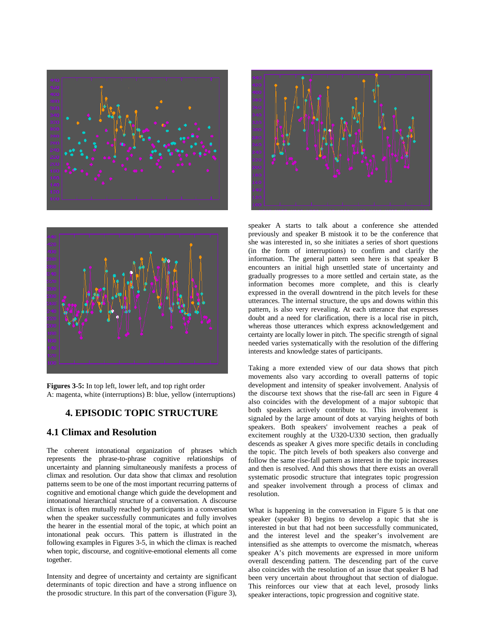



**Figures 3-5:** In top left, lower left, and top right order A: magenta, white (interruptions) B: blue, yellow (interruptions)

#### **4. EPISODIC TOPIC STRUCTURE**

#### **4.1 Climax and Resolution**

The coherent intonational organization of phrases which represents the phrase-to-phrase cognitive relationships of uncertainty and planning simultaneously manifests a process of climax and resolution. Our data show that climax and resolution patterns seem to be one of the most important recurring patterns of cognitive and emotional change which guide the development and intonational hierarchical structure of a conversation. A discourse climax is often mutually reached by participants in a conversation when the speaker successfully communicates and fully involves the hearer in the essential moral of the topic, at which point an intonational peak occurs. This pattern is illustrated in the following examples in Figures 3-5, in which the climax is reached when topic, discourse, and cognitive-emotional elements all come together.

Intensity and degree of uncertainty and certainty are significant determinants of topic direction and have a strong influence on the prosodic structure. In this part of the conversation (Figure 3),



speaker A starts to talk about a conference she attended previously and speaker B mistook it to be the conference that she was interested in, so she initiates a series of short questions (in the form of interruptions) to confirm and clarify the information. The general pattern seen here is that speaker B encounters an initial high unsettled state of uncertainty and gradually progresses to a more settled and certain state, as the information becomes more complete, and this is clearly expressed in the overall downtrend in the pitch levels for these utterances. The internal structure, the ups and downs within this pattern, is also very revealing. At each utterance that expresses doubt and a need for clarification, there is a local rise in pitch, whereas those utterances which express acknowledgement and certainty are locally lower in pitch. The specific strength of signal needed varies systematically with the resolution of the differing interests and knowledge states of participants.

Taking a more extended view of our data shows that pitch movements also vary according to overall patterns of topic development and intensity of speaker involvement. Analysis of the discourse text shows that the rise-fall arc seen in Figure 4 also coincides with the development of a major subtopic that both speakers actively contribute to. This involvement is signaled by the large amount of dots at varying heights of both speakers. Both speakers' involvement reaches a peak of excitement roughly at the U320-U330 section, then gradually descends as speaker A gives more specific details in concluding the topic. The pitch levels of both speakers also converge and follow the same rise-fall pattern as interest in the topic increases and then is resolved. And this shows that there exists an overall systematic prosodic structure that integrates topic progression and speaker involvement through a process of climax and resolution.

What is happening in the conversation in Figure 5 is that one speaker (speaker B) begins to develop a topic that she is interested in but that had not been successfully communicated, and the interest level and the speaker's involvement are intensified as she attempts to overcome the mismatch, whereas speaker A's pitch movements are expressed in more uniform overall descending pattern. The descending part of the curve also coincides with the resolution of an issue that speaker B had been very uncertain about throughout that section of dialogue. This reinforces our view that at each level, prosody links speaker interactions, topic progression and cognitive state.